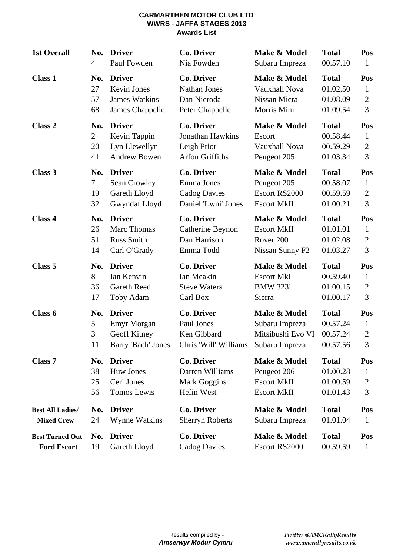#### **CARMARTHEN MOTOR CLUB LTD WWRS - JAFFA STAGES 2013 Awards List**

| <b>1st Overall</b>      | No.            | <b>Driver</b>        | <b>Co. Driver</b>      | Make & Model         | <b>Total</b> | Pos            |
|-------------------------|----------------|----------------------|------------------------|----------------------|--------------|----------------|
|                         | $\overline{4}$ | Paul Fowden          | Nia Fowden             | Subaru Impreza       | 00.57.10     | $\mathbf{1}$   |
| <b>Class 1</b>          | No.            | <b>Driver</b>        | <b>Co. Driver</b>      | Make & Model         | <b>Total</b> | Pos            |
|                         | 27             | <b>Kevin Jones</b>   | <b>Nathan Jones</b>    | <b>Vauxhall Nova</b> | 01.02.50     | 1              |
|                         | 57             | <b>James Watkins</b> | Dan Nieroda            | Nissan Micra         | 01.08.09     | $\overline{2}$ |
|                         | 68             | James Chappelle      | Peter Chappelle        | Morris Mini          | 01.09.54     | 3              |
| Class 2                 | No.            | <b>Driver</b>        | <b>Co. Driver</b>      | Make & Model         | <b>Total</b> | Pos            |
|                         | $\overline{2}$ | Kevin Tappin         | Jonathan Hawkins       | Escort               | 00.58.44     | 1              |
|                         | 20             | Lyn Llewellyn        | Leigh Prior            | Vauxhall Nova        | 00.59.29     | $\overline{2}$ |
|                         | 41             | <b>Andrew Bowen</b>  | <b>Arfon Griffiths</b> | Peugeot 205          | 01.03.34     | 3              |
| Class 3                 | No.            | <b>Driver</b>        | <b>Co. Driver</b>      | Make & Model         | <b>Total</b> | Pos            |
|                         | 7              | Sean Crowley         | Emma Jones             | Peugeot 205          | 00.58.07     | $\mathbf{1}$   |
|                         | 19             | Gareth Lloyd         | <b>Cadog Davies</b>    | Escort RS2000        | 00.59.59     | $\overline{2}$ |
|                         | 32             | Gwyndaf Lloyd        | Daniel 'Lwni' Jones    | <b>Escort MkII</b>   | 01.00.21     | 3              |
| Class 4                 | No.            | <b>Driver</b>        | <b>Co. Driver</b>      | Make & Model         | <b>Total</b> | Pos            |
|                         | 26             | <b>Marc Thomas</b>   | Catherine Beynon       | <b>Escort MkII</b>   | 01.01.01     | $\mathbf{1}$   |
|                         | 51             | <b>Russ Smith</b>    | Dan Harrison           | Rover <sub>200</sub> | 01.02.08     | $\overline{2}$ |
|                         | 14             | Carl O'Grady         | Emma Todd              | Nissan Sunny F2      | 01.03.27     | 3              |
| Class 5                 | No.            | <b>Driver</b>        | <b>Co. Driver</b>      | Make & Model         | <b>Total</b> | Pos            |
|                         | 8              | Ian Kenvin           | Ian Meakin             | <b>Escort MkI</b>    | 00.59.40     | $\mathbf{1}$   |
|                         | 36             | <b>Gareth Reed</b>   | <b>Steve Waters</b>    | <b>BMW 323i</b>      | 01.00.15     | $\overline{2}$ |
|                         | 17             | Toby Adam            | Carl Box               | Sierra               | 01.00.17     | 3              |
| Class 6                 | No.            | <b>Driver</b>        | Co. Driver             | Make & Model         | <b>Total</b> | Pos            |
|                         | 5              | <b>Emyr Morgan</b>   | Paul Jones             | Subaru Impreza       | 00.57.24     | $\mathbf{1}$   |
|                         | 3              | Geoff Kitney         | Ken Gibbard            | Mitsibushi Evo VI    | 00.57.24     | $\overline{2}$ |
|                         | 11             | Barry 'Bach' Jones   | Chris 'Will' Williams  | Subaru Impreza       | 00.57.56     | 3              |
| Class <sub>7</sub>      | No.            | <b>Driver</b>        | Co. Driver             | Make & Model         | <b>Total</b> | Pos            |
|                         | 38             | <b>Huw Jones</b>     | Darren Williams        | Peugeot 206          | 01.00.28     | $\mathbf{1}$   |
|                         | 25             | Ceri Jones           | <b>Mark Goggins</b>    | <b>Escort MkII</b>   | 01.00.59     | 2              |
|                         | 56             | Tomos Lewis          | Hefin West             | <b>Escort MkII</b>   | 01.01.43     | 3              |
| <b>Best All Ladies/</b> | No.            | <b>Driver</b>        | <b>Co. Driver</b>      | Make & Model         | <b>Total</b> | Pos            |
| <b>Mixed Crew</b>       | 24             | <b>Wynne Watkins</b> | <b>Sherryn Roberts</b> | Subaru Impreza       | 01.01.04     | $\mathbf{1}$   |
| <b>Best Turned Out</b>  | No.            | <b>Driver</b>        | Co. Driver             | Make & Model         | <b>Total</b> | Pos            |
| <b>Ford Escort</b>      | 19             | Gareth Lloyd         | <b>Cadog Davies</b>    | Escort RS2000        | 00.59.59     | $\mathbf{1}$   |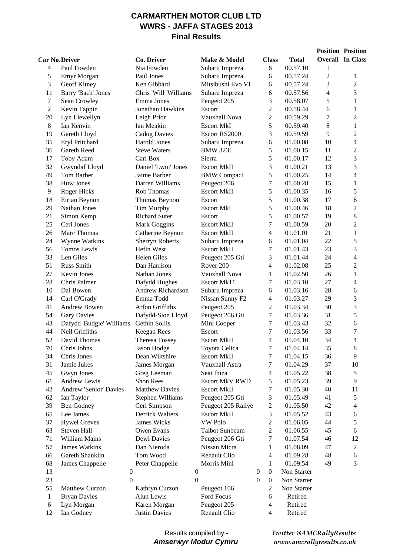### **CARMARTHEN MOTOR CLUB LTD WWRS - JAFFA STAGES 2013 Final Results**

|              |                               |                        |                       |                                      |              |                          | <b>Position Position</b> |
|--------------|-------------------------------|------------------------|-----------------------|--------------------------------------|--------------|--------------------------|--------------------------|
|              | <b>Car No Driver</b>          | Co. Driver             | Make & Model          | <b>Class</b>                         | <b>Total</b> |                          | <b>Overall In Class</b>  |
| 4            | Paul Fowden                   | Nia Fowden             | Subaru Impreza        | 6                                    | 00.57.10     | 1                        |                          |
| 5            | Emyr Morgan                   | Paul Jones             | Subaru Impreza        | 6                                    | 00.57.24     | $\overline{2}$           | 1                        |
| 3            | Geoff Kitney                  | Ken Gibbard            | Mitsibushi Evo VI     | 6                                    | 00.57.24     | 3                        | $\mathfrak{2}$           |
| 11           | Barry 'Bach' Jones            | Chris 'Will' Williams  | Subaru Impreza        | 6                                    | 00.57.56     | $\overline{\mathcal{L}}$ | $\overline{3}$           |
| $\tau$       | Sean Crowley                  | Emma Jones             | Peugeot 205           | 3                                    | 00.58.07     | 5                        | $\mathbf{1}$             |
| 2            | Kevin Tappin                  | Jonathan Hawkins       | Escort                | 2                                    | 00.58.44     | 6                        | $\mathbf{1}$             |
| 20           | Lyn Llewellyn                 | Leigh Prior            | Vauxhall Nova         | $\overline{c}$                       | 00.59.29     | 7                        | $\overline{2}$           |
| $8\,$        | Ian Kenvin                    | Ian Meakin             | <b>Escort MkI</b>     | 5                                    | 00.59.40     | 8                        | $\mathbf{1}$             |
| 19           | Gareth Lloyd                  | <b>Cadog Davies</b>    | Escort RS2000         | 3                                    | 00.59.59     | 9                        | $\overline{2}$           |
| 35           | Eryl Pritchard                | Harold Jones           | Subaru Impreza        | 6                                    | 01.00.08     | 10                       | $\overline{4}$           |
| 36           | Gareth Reed                   | <b>Steve Waters</b>    | <b>BMW 323i</b>       | 5                                    | 01.00.15     | 11                       | $\overline{2}$           |
| 17           | Toby Adam                     | Carl Box               | Sierra                | 5                                    | 01.00.17     | 12                       | 3                        |
| 32           | Gwyndaf Lloyd                 | Daniel 'Lwni' Jones    | <b>Escort MkII</b>    | 3                                    | 01.00.21     | 13                       | 3                        |
| 49           | Tom Barber                    | Jaime Barber           | <b>BMW</b> Compact    | 5                                    | 01.00.25     | 14                       | $\overline{4}$           |
| 38           | <b>Huw Jones</b>              | Darren Williams        | Peugeot 206           | 7                                    | 01.00.28     | 15                       | $\mathbf{1}$             |
| 9            | <b>Roger Hicks</b>            | Rob Thomas             | <b>Escort MkII</b>    | 5                                    | 01.00.35     | 16                       | 5                        |
| 18           | Eirian Beynon                 | Thomas Beynon          | Escort                | 5                                    | 01.00.38     | 17                       | 6                        |
| 29           | Nathan Jones                  | Tim Murphy             | <b>Escort MkI</b>     | 5                                    | 01.00.46     | 18                       | $\boldsymbol{7}$         |
| 21           | Simon Kemp                    | <b>Richard Suter</b>   | Escort                | 5                                    | 01.00.57     | 19                       | 8                        |
| 25           | Ceri Jones                    | Mark Goggins           | <b>Escort MkII</b>    | 7                                    | 01.00.59     | 20                       | $\overline{2}$           |
| 26           | Marc Thomas                   | Catherine Beynon       | <b>Escort MkII</b>    | 4                                    | 01.01.01     | 21                       | $\,1$                    |
| 24           | Wynne Watkins                 | <b>Sherryn Roberts</b> | Subaru Impreza        | 6                                    | 01.01.04     | 22                       | 5                        |
| 56           | Tomos Lewis                   | Hefin West             | <b>Escort MkII</b>    | 7                                    | 01.01.43     | 23                       | 3                        |
| 33           | Len Giles                     | Helen Giles            | Peugeot 205 Gti       | 3                                    | 01.01.44     | 24                       | $\overline{4}$           |
| 51           | Russ Smith                    | Dan Harrison           | Rover <sub>200</sub>  | 4                                    | 01.02.08     | 25                       | $\overline{c}$           |
| 27           | Kevin Jones                   | Nathan Jones           | Vauxhall Nova         | 1                                    | 01.02.50     | 26                       | $\mathbf{1}$             |
| 28           | Chris Palmer                  | Dafydd Hughes          | Escort Mk11           | 7                                    | 01.03.10     | 27                       | $\overline{4}$           |
| 10           | Dai Bowen                     | Andrew Richardson      | Subaru Impreza        | 6                                    | 01.03.16     | 28                       | 6                        |
| 14           | Carl O'Grady                  | Emma Todd              | Nissan Sunny F2       | 4                                    | 01.03.27     | 29                       | 3                        |
| 41           | <b>Andrew Bowen</b>           | <b>Arfon Griffiths</b> | Peugeot 205           | $\overline{c}$                       | 01.03.34     | 30                       | 3                        |
| 54           | <b>Gary Davies</b>            | Dafydd-Sion Lloyd      | Peugeot 206 Gti       | 7                                    | 01.03.36     | 31                       | 5                        |
| 43           | Dafydd 'Budgie' Williams      | Gethin Sollis          | Mini Cooper           | 7                                    | 01.03.43     | 32                       | 6                        |
| 44           | Neil Griffiths                | Keegan Rees            | Escort                | 7                                    | 01.03.56     | 33                       | $\tau$                   |
| 52           | David Thomas                  | <b>Theresa Fossey</b>  | <b>Escort MkII</b>    | 4                                    | 01.04.10     | 34                       | 4                        |
| 70           | Chris Johns                   | Jason Hodge            | Toyota Celica         | $\tau$                               | 01.04.14     | 35                       | 8                        |
| 34           | Chris Jones                   | Dean Wiltshire         | <b>Escort MkII</b>    | 7                                    | 01.04.15     | 36                       | 9                        |
| 31           | Jamie Jukes                   | James Morgan           | Vauxhall Astra        | 7                                    | 01.04.29     | 37                       | 10                       |
| 45           | Gwyn Jones                    | Greg Leeman            | Seat Ibiza            | 4                                    | 01.05.22     | 38                       | 5                        |
| 61           | <b>Andrew Lewis</b>           | Shon Rees              | <b>Escort MkV RWD</b> | 5                                    | 01.05.23     | 39                       | 9                        |
| 42           | <b>Andrew 'Senior' Davies</b> | <b>Matthew Davies</b>  | <b>Escort MkII</b>    | 7                                    | 01.05.30     | 40                       | 11                       |
| 62           | Ian Taylor                    | Stephen Williams       | Peugeot 205 Gti       | 3                                    | 01.05.49     | 41                       | 5                        |
| 39           | <b>Ben Godney</b>             | Ceri Simpson           | Peugeot 205 Rallye    | 2                                    | 01.05.50     | 42                       | 4                        |
| 65           | Lee James                     | Derrick Walters        | <b>Escort MkII</b>    | 3                                    | 01.05.52     | 43                       | 6                        |
| 37           | <b>Hywel Greves</b>           | James Wicks            | <b>VW Polo</b>        | 2                                    | 01.06.05     | 44                       | 5                        |
| 63           | Steven Hall                   | Owen Evans             | <b>Talbot Sunbeam</b> | 2                                    | 01.06.55     | 45                       | 6                        |
| 71           | William Mains                 | Dewi Davies            | Peugeot 206 Gti       | 7                                    | 01.07.54     | 46                       | 12                       |
| 57           | <b>James Watkins</b>          | Dan Nieroda            | Nissan Micra          | 1                                    | 01.08.09     | 47                       | $\boldsymbol{2}$         |
| 66           | Gareth Shanklin               | Tom Wood               | Renault Clio          | 4                                    | 01.09.28     | 48                       | 6                        |
| 68           | James Chappelle               | Peter Chappelle        | Morris Mini           | 1                                    | 01.09.54     | 49                       | 3                        |
| 13           | $\boldsymbol{0}$              |                        | $\boldsymbol{0}$      | $\boldsymbol{0}$<br>$\boldsymbol{0}$ | Non Starter  |                          |                          |
| 23           | $\overline{0}$                |                        | $\mathbf{0}$          | $\boldsymbol{0}$<br>$\boldsymbol{0}$ | Non Starter  |                          |                          |
| 55           | Matthew Curzon                | Kathryn Curzon         | Peugeot 106           | $\mathfrak{2}$                       | Non Starter  |                          |                          |
| $\mathbf{1}$ | <b>Bryan Davies</b>           | Alun Lewis             | Ford Focus            | $\sqrt{6}$                           | Retired      |                          |                          |
| 6            | Lyn Morgan                    | Karen Morgan           | Peugeot 205           | 4                                    | Retired      |                          |                          |
| 12           | Ian Godney                    | <b>Justin Davies</b>   | Renault Clio          | $\overline{4}$                       | Retired      |                          |                          |

#### Results compiled by - *Amserwyr Modur Cymru*

*Twitter @AMCRallyResults www.amcrallyresults.co.uk*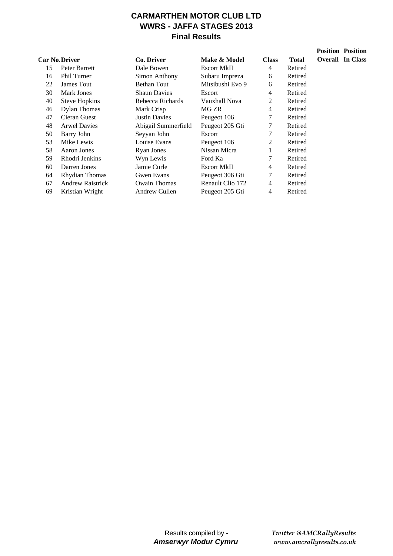## **CARMARTHEN MOTOR CLUB LTD WWRS - JAFFA STAGES 2013 Final Results**

|    | <b>Car No Driver</b>    | Co. Driver           | Make & Model       | <b>Class</b>   | <b>Total</b> | Ove |
|----|-------------------------|----------------------|--------------------|----------------|--------------|-----|
| 15 | Peter Barrett           | Dale Bowen           | <b>Escort MkII</b> | 4              | Retired      |     |
| 16 | <b>Phil Turner</b>      | Simon Anthony        | Subaru Impreza     | 6              | Retired      |     |
| 22 | James Tout              | <b>Bethan Tout</b>   | Mitsibushi Evo 9   | 6              | Retired      |     |
| 30 | Mark Jones              | <b>Shaun Davies</b>  | Escort             | 4              | Retired      |     |
| 40 | <b>Steve Hopkins</b>    | Rebecca Richards     | Vauxhall Nova      | 2              | Retired      |     |
| 46 | <b>Dylan Thomas</b>     | Mark Crisp           | MG ZR              | $\overline{4}$ | Retired      |     |
| 47 | Cieran Guest            | <b>Justin Davies</b> | Peugeot 106        | 7              | Retired      |     |
| 48 | <b>Arwel Davies</b>     | Abigail Summerfield  | Peugeot 205 Gti    | 7              | Retired      |     |
| 50 | Barry John              | Seyyan John          | Escort             | 7              | Retired      |     |
| 53 | Mike Lewis              | Louise Evans         | Peugeot 106        | 2              | Retired      |     |
| 58 | Aaron Jones             | <b>Ryan Jones</b>    | Nissan Micra       | 1              | Retired      |     |
| 59 | Rhodri Jenkins          | Wyn Lewis            | Ford Ka            | 7              | Retired      |     |
| 60 | Darren Jones            | Jamie Curle          | <b>Escort MkII</b> | 4              | Retired      |     |
| 64 | Rhydian Thomas          | Gwen Evans           | Peugeot 306 Gti    | $\tau$         | Retired      |     |
| 67 | <b>Andrew Raistrick</b> | <b>Owain Thomas</b>  | Renault Clio 172   | $\overline{4}$ | Retired      |     |
| 69 | Kristian Wright         | Andrew Cullen        | Peugeot 205 Gti    | 4              | Retired      |     |

**Position Position Overall In Class**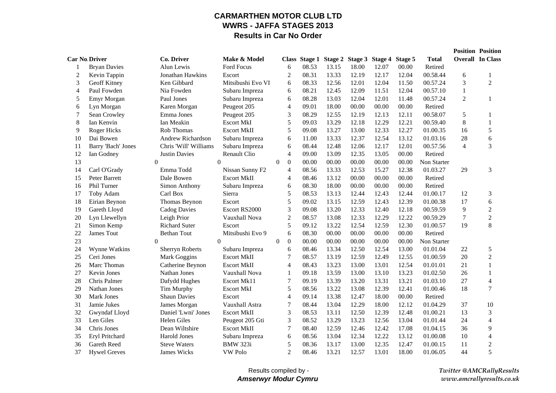### **CARMARTHEN MOTOR CLUB LTDWWRS - JAFFA STAGES 2013Results in Car No Order**

|                |                      |                        |                    |                                      |       |       |                                               |       |       |              |                | <b>Position Position</b> |
|----------------|----------------------|------------------------|--------------------|--------------------------------------|-------|-------|-----------------------------------------------|-------|-------|--------------|----------------|--------------------------|
|                | <b>Car No Driver</b> | Co. Driver             | Make & Model       |                                      |       |       | Class Stage 1 Stage 2 Stage 3 Stage 4 Stage 5 |       |       | <b>Total</b> |                | <b>Overall In Class</b>  |
|                | <b>Bryan Davies</b>  | Alun Lewis             | Ford Focus         | 6                                    | 08.53 | 13.15 | 18.00                                         | 12.07 | 00.00 | Retired      |                |                          |
| 2              | Kevin Tappin         | Jonathan Hawkins       | Escort             | $\overline{2}$                       | 08.31 | 13.33 | 12.19                                         | 12.17 | 12.04 | 00.58.44     | 6              | 1                        |
| 3              | Geoff Kitney         | Ken Gibbard            | Mitsibushi Evo VI  | 6                                    | 08.33 | 12.56 | 12.01                                         | 12.04 | 11.50 | 00.57.24     | 3              | $\overline{c}$           |
| $\overline{4}$ | Paul Fowden          | Nia Fowden             | Subaru Impreza     | 6                                    | 08.21 | 12.45 | 12.09                                         | 11.51 | 12.04 | 00.57.10     | 1              |                          |
| 5              | Emyr Morgan          | Paul Jones             | Subaru Impreza     | 6                                    | 08.28 | 13.03 | 12.04                                         | 12.01 | 11.48 | 00.57.24     | $\overline{2}$ | 1                        |
| 6              | Lyn Morgan           | Karen Morgan           | Peugeot 205        | 4                                    | 09.01 | 18.00 | 00.00                                         | 00.00 | 00.00 | Retired      |                |                          |
| 7              | Sean Crowley         | Emma Jones             | Peugeot 205        | 3                                    | 08.29 | 12.55 | 12.19                                         | 12.13 | 12.11 | 00.58.07     | 5              | 1                        |
| 8              | Ian Kenvin           | Ian Meakin             | <b>Escort MkI</b>  | 5                                    | 09.03 | 13.29 | 12.18                                         | 12.29 | 12.21 | 00.59.40     | $8\,$          | $\mathbf{1}$             |
| 9              | <b>Roger Hicks</b>   | Rob Thomas             | <b>Escort MkII</b> | 5                                    | 09.08 | 13.27 | 13.00                                         | 12.33 | 12.27 | 01.00.35     | 16             | $\sqrt{5}$               |
| 10             | Dai Bowen            | Andrew Richardson      | Subaru Impreza     | 6                                    | 11.00 | 13.33 | 12.37                                         | 12.54 | 13.12 | 01.03.16     | 28             | 6                        |
| 11             | Barry 'Bach' Jones   | Chris 'Will' Williams  | Subaru Impreza     | 6                                    | 08.44 | 12.48 | 12.06                                         | 12.17 | 12.01 | 00.57.56     | $\overline{4}$ | 3                        |
| 12             | Ian Godney           | <b>Justin Davies</b>   | Renault Clio       | 4                                    | 09.00 | 13.09 | 12.35                                         | 13.05 | 00.00 | Retired      |                |                          |
| 13             |                      | $\theta$               | $\overline{0}$     | $\boldsymbol{0}$<br>$\boldsymbol{0}$ | 00.00 | 00.00 | 00.00                                         | 00.00 | 00.00 | Non Starter  |                |                          |
| 14             | Carl O'Grady         | Emma Todd              | Nissan Sunny F2    | $\overline{4}$                       | 08.56 | 13.33 | 12.53                                         | 15.27 | 12.38 | 01.03.27     | 29             | 3                        |
| 15             | Peter Barrett        | Dale Bowen             | <b>Escort MkII</b> | 4                                    | 08.46 | 13.12 | 00.00                                         | 00.00 | 00.00 | Retired      |                |                          |
| 16             | Phil Turner          | Simon Anthony          | Subaru Impreza     | 6                                    | 08.30 | 18.00 | 00.00                                         | 00.00 | 00.00 | Retired      |                |                          |
| 17             | Toby Adam            | Carl Box               | Sierra             | 5                                    | 08.53 | 13.13 | 12.44                                         | 12.43 | 12.44 | 01.00.17     | 12             | 3                        |
| 18             | Eirian Beynon        | Thomas Beynon          | Escort             | 5                                    | 09.02 | 13.15 | 12.59                                         | 12.43 | 12.39 | 01.00.38     | 17             | 6                        |
| 19             | Gareth Lloyd         | <b>Cadog Davies</b>    | Escort RS2000      | 3                                    | 09.08 | 13.20 | 12.33                                         | 12.40 | 12.18 | 00.59.59     | 9              | $\overline{c}$           |
| 20             | Lyn Llewellyn        | Leigh Prior            | Vauxhall Nova      | $\overline{2}$                       | 08.57 | 13.08 | 12.33                                         | 12.29 | 12.22 | 00.59.29     | 7              | $\sqrt{2}$               |
| 21             | Simon Kemp           | <b>Richard Suter</b>   | Escort             | 5                                    | 09.12 | 13.22 | 12.54                                         | 12.59 | 12.30 | 01.00.57     | 19             | $8\,$                    |
| 22             | James Tout           | <b>Bethan Tout</b>     | Mitsibushi Evo 9   | 6                                    | 08.30 | 00.00 | 00.00                                         | 00.00 | 00.00 | Retired      |                |                          |
| 23             |                      | $\Omega$               | $\theta$           | $\boldsymbol{0}$<br>$\boldsymbol{0}$ | 00.00 | 00.00 | 00.00                                         | 00.00 | 00.00 | Non Starter  |                |                          |
| 24             | Wynne Watkins        | <b>Sherryn Roberts</b> | Subaru Impreza     | 6                                    | 08.46 | 13.34 | 12.50                                         | 12.54 | 13.00 | 01.01.04     | 22             | $\sqrt{5}$               |
| 25             | Ceri Jones           | Mark Goggins           | <b>Escort MkII</b> | $\overline{7}$                       | 08.57 | 13.19 | 12.59                                         | 12.49 | 12.55 | 01.00.59     | 20             | $\overline{c}$           |
| 26             | Marc Thomas          | Catherine Beynon       | <b>Escort MkII</b> | $\overline{4}$                       | 08.43 | 13.23 | 13.00                                         | 13.01 | 12.54 | 01.01.01     | 21             | $\mathbf{1}$             |
| 27             | Kevin Jones          | Nathan Jones           | Vauxhall Nova      | $\mathbf{1}$                         | 09.18 | 13.59 | 13.00                                         | 13.10 | 13.23 | 01.02.50     | 26             | 1                        |
| 28             | Chris Palmer         | Dafydd Hughes          | Escort Mk11        | 7                                    | 09.19 | 13.39 | 13.20                                         | 13.31 | 13.21 | 01.03.10     | 27             | 4                        |
| 29             | Nathan Jones         | Tim Murphy             | <b>Escort MkI</b>  | 5                                    | 08.56 | 13.22 | 13.08                                         | 12.39 | 12.41 | 01.00.46     | 18             | 7                        |
| 30             | <b>Mark Jones</b>    | <b>Shaun Davies</b>    | Escort             | $\overline{4}$                       | 09.14 | 13.38 | 12.47                                         | 18.00 | 00.00 | Retired      |                |                          |
| 31             | Jamie Jukes          | James Morgan           | Vauxhall Astra     | 7                                    | 08.44 | 13.04 | 12.29                                         | 18.00 | 12.12 | 01.04.29     | 37             | 10                       |
| 32             | Gwyndaf Lloyd        | Daniel 'Lwni' Jones    | <b>Escort MkII</b> | 3                                    | 08.53 | 13.11 | 12.50                                         | 12.39 | 12.48 | 01.00.21     | 13             | 3                        |
| 33             | Len Giles            | Helen Giles            | Peugeot 205 Gti    | 3                                    | 08.52 | 13.29 | 13.23                                         | 12.56 | 13.04 | 01.01.44     | 24             | 4                        |
| 34             | Chris Jones          | Dean Wiltshire         | <b>Escort MkII</b> | $\tau$                               | 08.40 | 12.59 | 12.46                                         | 12.42 | 17.08 | 01.04.15     | 36             | 9                        |
| 35             | Eryl Pritchard       | Harold Jones           | Subaru Impreza     | 6                                    | 08.56 | 13.04 | 12.34                                         | 12.22 | 13.12 | 01.00.08     | 10             | 4                        |
| 36             | Gareth Reed          | <b>Steve Waters</b>    | <b>BMW 323i</b>    | 5                                    | 08.36 | 13.17 | 13.00                                         | 12.35 | 12.47 | 01.00.15     | 11             | $\overline{c}$           |
| 37             | <b>Hywel Greves</b>  | James Wicks            | <b>VW Polo</b>     | $\overline{c}$                       | 08.46 | 13.21 | 12.57                                         | 13.01 | 18.00 | 01.06.05     | 44             | 5                        |

*Twitter @AMCRallyResults www.amcrallyresults.co.uk*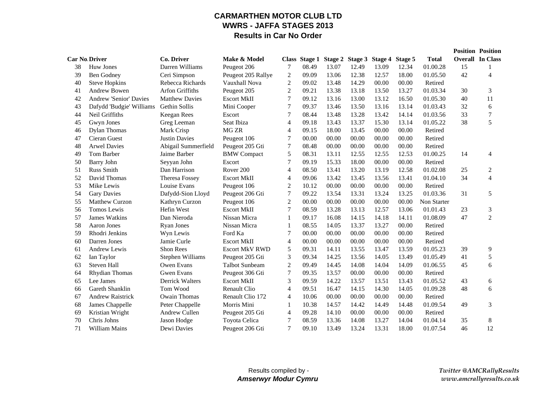### **CARMARTHEN MOTOR CLUB LTDWWRS - JAFFA STAGES 2013Results in Car No Order**

|                      |                          |                        |                       |                |       |       |                                               |       |       |                    |    | <b>Position Position</b> |
|----------------------|--------------------------|------------------------|-----------------------|----------------|-------|-------|-----------------------------------------------|-------|-------|--------------------|----|--------------------------|
| <b>Car No Driver</b> |                          | Co. Driver             | Make & Model          |                |       |       | Class Stage 1 Stage 2 Stage 3 Stage 4 Stage 5 |       |       | <b>Total</b>       |    | <b>Overall In Class</b>  |
| 38                   | Huw Jones                | Darren Williams        | Peugeot 206           | 7              | 08.49 | 13.07 | 12.49                                         | 13.09 | 12.34 | 01.00.28           | 15 | 1                        |
| 39                   | Ben Godney               | Ceri Simpson           | Peugeot 205 Rallye    | $\overline{2}$ | 09.09 | 13.06 | 12.38                                         | 12.57 | 18.00 | 01.05.50           | 42 | 4                        |
| 40                   | <b>Steve Hopkins</b>     | Rebecca Richards       | Vauxhall Nova         | 2              | 09.02 | 13.48 | 14.29                                         | 00.00 | 00.00 | Retired            |    |                          |
| 41                   | Andrew Bowen             | Arfon Griffiths        | Peugeot 205           | $\overline{c}$ | 09.21 | 13.38 | 13.18                                         | 13.50 | 13.27 | 01.03.34           | 30 | 3                        |
| 42                   | Andrew 'Senior' Davies   | <b>Matthew Davies</b>  | <b>Escort MkII</b>    | 7              | 09.12 | 13.16 | 13.00                                         | 13.12 | 16.50 | 01.05.30           | 40 | 11                       |
| 43                   | Dafydd 'Budgie' Williams | Gethin Sollis          | Mini Cooper           | 7              | 09.37 | 13.46 | 13.50                                         | 13.16 | 13.14 | 01.03.43           | 32 | 6                        |
| 44                   | Neil Griffiths           | Keegan Rees            | Escort                | 7              | 08.44 | 13.48 | 13.28                                         | 13.42 | 14.14 | 01.03.56           | 33 | 7                        |
| 45                   | Gwyn Jones               | Greg Leeman            | Seat Ibiza            | 4              | 09.18 | 13.43 | 13.37                                         | 15.30 | 13.14 | 01.05.22           | 38 | 5                        |
| 46                   | <b>Dylan Thomas</b>      | Mark Crisp             | MG ZR                 | $\overline{4}$ | 09.15 | 18.00 | 13.45                                         | 00.00 | 00.00 | Retired            |    |                          |
| 47                   | Cieran Guest             | <b>Justin Davies</b>   | Peugeot 106           | 7              | 00.00 | 00.00 | 00.00                                         | 00.00 | 00.00 | Retired            |    |                          |
| 48                   | <b>Arwel Davies</b>      | Abigail Summerfield    | Peugeot 205 Gti       | $\tau$         | 08.48 | 00.00 | 00.00                                         | 00.00 | 00.00 | Retired            |    |                          |
| 49                   | Tom Barber               | Jaime Barber           | <b>BMW</b> Compact    | 5              | 08.31 | 13.11 | 12.55                                         | 12.55 | 12.53 | 01.00.25           | 14 | 4                        |
| 50                   | <b>Barry John</b>        | Seyyan John            | Escort                | 7              | 09.19 | 15.33 | 18.00                                         | 00.00 | 00.00 | Retired            |    |                          |
| 51                   | <b>Russ Smith</b>        | Dan Harrison           | Rover <sub>200</sub>  | 4              | 08.50 | 13.41 | 13.20                                         | 13.19 | 12.58 | 01.02.08           | 25 | 2                        |
| 52                   | David Thomas             | Theresa Fossey         | <b>Escort MkII</b>    | 4              | 09.06 | 13.42 | 13.45                                         | 13.56 | 13.41 | 01.04.10           | 34 | $\overline{4}$           |
| 53                   | Mike Lewis               | Louise Evans           | Peugeot 106           | 2              | 10.12 | 00.00 | 00.00                                         | 00.00 | 00.00 | Retired            |    |                          |
| 54                   | <b>Gary Davies</b>       | Dafydd-Sion Lloyd      | Peugeot 206 Gti       | $\tau$         | 09.22 | 13.54 | 13.31                                         | 13.24 | 13.25 | 01.03.36           | 31 | 5                        |
| 55                   | <b>Matthew Curzon</b>    | Kathryn Curzon         | Peugeot 106           | $\overline{2}$ | 00.00 | 00.00 | 00.00                                         | 00.00 | 00.00 | <b>Non Starter</b> |    |                          |
| 56                   | Tomos Lewis              | Hefin West             | <b>Escort MkII</b>    | 7              | 08.59 | 13.28 | 13.13                                         | 12.57 | 13.06 | 01.01.43           | 23 | 3                        |
| 57                   | <b>James Watkins</b>     | Dan Nieroda            | Nissan Micra          | 1              | 09.17 | 16.08 | 14.15                                         | 14.18 | 14.11 | 01.08.09           | 47 | $\overline{2}$           |
| 58                   | Aaron Jones              | <b>Ryan Jones</b>      | Nissan Micra          | 1              | 08.55 | 14.05 | 13.37                                         | 13.27 | 00.00 | Retired            |    |                          |
| 59                   | Rhodri Jenkins           | Wyn Lewis              | Ford Ka               | 7              | 00.00 | 00.00 | 00.00                                         | 00.00 | 00.00 | Retired            |    |                          |
| 60                   | Darren Jones             | Jamie Curle            | <b>Escort MkII</b>    | 4              | 00.00 | 00.00 | 00.00                                         | 00.00 | 00.00 | Retired            |    |                          |
| 61                   | Andrew Lewis             | Shon Rees              | <b>Escort MkV RWD</b> | 5              | 09.31 | 14.11 | 13.55                                         | 13.47 | 13.59 | 01.05.23           | 39 | 9                        |
| 62                   | Ian Taylor               | Stephen Williams       | Peugeot 205 Gti       | 3              | 09.34 | 14.25 | 13.56                                         | 14.05 | 13.49 | 01.05.49           | 41 | 5                        |
| 63                   | <b>Steven Hall</b>       | Owen Evans             | <b>Talbot Sunbeam</b> | $\overline{c}$ | 09.49 | 14.45 | 14.08                                         | 14.04 | 14.09 | 01.06.55           | 45 | 6                        |
| 64                   | Rhydian Thomas           | <b>Gwen Evans</b>      | Peugeot 306 Gti       | 7              | 09.35 | 13.57 | 00.00                                         | 00.00 | 00.00 | Retired            |    |                          |
| 65                   | Lee James                | <b>Derrick Walters</b> | <b>Escort MkII</b>    | 3              | 09.59 | 14.22 | 13.57                                         | 13.51 | 13.43 | 01.05.52           | 43 | 6                        |
| 66                   | Gareth Shanklin          | Tom Wood               | <b>Renault Clio</b>   | 4              | 09.51 | 16.47 | 14.15                                         | 14.30 | 14.05 | 01.09.28           | 48 | 6                        |
| 67                   | <b>Andrew Raistrick</b>  | <b>Owain Thomas</b>    | Renault Clio 172      | 4              | 10.06 | 00.00 | 00.00                                         | 00.00 | 00.00 | Retired            |    |                          |
| 68                   | James Chappelle          | Peter Chappelle        | Morris Mini           | $\mathbf{1}$   | 10.38 | 14.57 | 14.42                                         | 14.49 | 14.48 | 01.09.54           | 49 | 3                        |
| 69                   | Kristian Wright          | Andrew Cullen          | Peugeot 205 Gti       | $\overline{4}$ | 09.28 | 14.10 | 00.00                                         | 00.00 | 00.00 | Retired            |    |                          |
| 70                   | Chris Johns              | Jason Hodge            | Toyota Celica         | 7              | 08.59 | 13.36 | 14.08                                         | 13.27 | 14.04 | 01.04.14           | 35 | 8                        |
| 71                   | <b>William Mains</b>     | Dewi Davies            | Peugeot 206 Gti       | 7              | 09.10 | 13.49 | 13.24                                         | 13.31 | 18.00 | 01.07.54           | 46 | 12                       |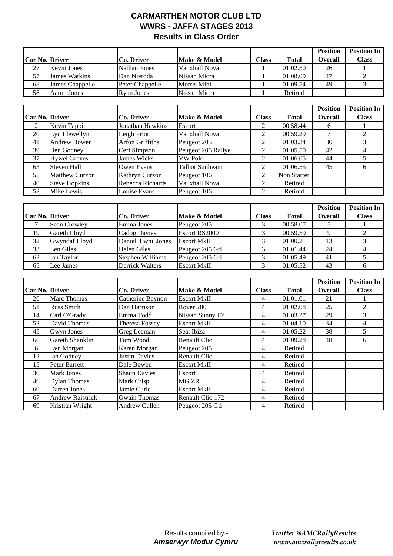### **CARMARTHEN MOTOR CLUB LTD WWRS - JAFFA STAGES 2013 Results in Class Order**

|                       |                      |                   |               |              |              | <b>Position</b> | <b>Position In</b> |
|-----------------------|----------------------|-------------------|---------------|--------------|--------------|-----------------|--------------------|
| <b>Car No. Driver</b> |                      | Co. Driver        | Make & Model  | <b>Class</b> | <b>Total</b> | <b>Overall</b>  | <b>Class</b>       |
| 27                    | <b>Kevin Jones</b>   | Nathan Jones      | Vauxhall Nova |              | 01.02.50     | 26              |                    |
| 57                    | <b>James Watkins</b> | Dan Nieroda       | Nissan Micra  |              | 01.08.09     | 47              |                    |
| 68                    | James Chappelle      | Peter Chappelle   | Morris Mini   |              | 01.09.54     | 49              |                    |
| 58                    | Aaron Jones          | <b>Ryan Jones</b> | Nissan Micra  |              | Retired      |                 |                    |

|                |                       |                         |                    |              |              | <b>Position</b> | <b>Position In</b> |
|----------------|-----------------------|-------------------------|--------------------|--------------|--------------|-----------------|--------------------|
| Car No. Driver |                       | Co. Driver              | Make & Model       | <b>Class</b> | <b>Total</b> | <b>Overall</b>  | <b>Class</b>       |
| 2              | Kevin Tappin          | <b>Jonathan Hawkins</b> | Escort             | 2            | 00.58.44     | 6               |                    |
| 20             | Lyn Llewellyn         | Leigh Prior             | Vauxhall Nova      | 2            | 00.59.29     |                 |                    |
| 41             | <b>Andrew Bowen</b>   | <b>Arfon Griffiths</b>  | Peugeot 205        | 2            | 01.03.34     | 30              |                    |
| 39             | Ben Godney            | Ceri Simpson            | Peugeot 205 Rallye | 2            | 01.05.50     | 42              |                    |
| 37             | <b>Hywel Greves</b>   | James Wicks             | VW Polo            | 2            | 01.06.05     | 44              |                    |
| 63             | <b>Steven Hall</b>    | Owen Evans              | Talbot Sunbeam     | 2            | 01.06.55     | 45              |                    |
| 55             | <b>Matthew Curzon</b> | Kathryn Curzon          | Peugeot 106        | 2            | Non Starter  |                 |                    |
| 40             | <b>Steve Hopkins</b>  | Rebecca Richards        | Vauxhall Nova      | 2            | Retired      |                 |                    |
| 53             | Mike Lewis            | Louise Evans            | Peugeot 106        | 2            | Retired      |                 |                    |

|                       |               |                     |                    |              |              | <b>Position</b> | <b>Position In</b> |
|-----------------------|---------------|---------------------|--------------------|--------------|--------------|-----------------|--------------------|
| <b>Car No. Driver</b> |               | Co. Driver          | Make & Model       | <b>Class</b> | <b>Total</b> | <b>Overall</b>  | <b>Class</b>       |
|                       | Sean Crowley  | Emma Jones          | Peugeot 205        |              | 00.58.07     |                 |                    |
| 19                    | Gareth Lloyd  | Cadog Davies        | Escort RS2000      |              | 00.59.59     |                 |                    |
| 32                    | Gwyndaf Lloyd | Daniel 'Lwni' Jones | <b>Escort MkII</b> |              | 01.00.21     | 13              |                    |
| 33                    | Len Giles     | <b>Helen Giles</b>  | Peugeot 205 Gti    |              | 01.01.44     | 24              |                    |
| 62                    | Ian Taylor    | Stephen Williams    | Peugeot 205 Gti    |              | 01.05.49     | 41              |                    |
| 65                    | Lee James     | Derrick Walters     | <b>Escort MkII</b> |              | 01.05.52     | 43              |                    |

|                |                         |                       |                             |              |              | <b>Position</b> | <b>Position In</b> |
|----------------|-------------------------|-----------------------|-----------------------------|--------------|--------------|-----------------|--------------------|
| Car No. Driver |                         | Co. Driver            | Make & Model                | <b>Class</b> | <b>Total</b> | <b>Overall</b>  | <b>Class</b>       |
| 26             | <b>Marc Thomas</b>      | Catherine Beynon      | <b>Escort MkII</b>          | 4            | 01.01.01     | 21              |                    |
| 51             | <b>Russ Smith</b>       | Dan Harrison          | Rover 200                   | 4            | 01.02.08     | 25              | 2                  |
| 14             | Carl O'Grady            | Emma Todd             | Nissan Sunny F <sub>2</sub> | 4            | 01.03.27     | 29              | 3                  |
| 52             | David Thomas            | <b>Theresa Fossey</b> | <b>Escort MkII</b>          | 4            | 01.04.10     | 34              | 4                  |
| 45             | Gwyn Jones              | Greg Leeman           | Seat Ibiza                  | 4            | 01.05.22     | 38              | 5.                 |
| 66             | Gareth Shanklin         | Tom Wood              | <b>Renault Clio</b>         | 4            | 01.09.28     | 48              | 6                  |
| 6              | Lyn Morgan              | Karen Morgan          | Peugeot 205                 | 4            | Retired      |                 |                    |
| 12             | Ian Godney              | <b>Justin Davies</b>  | <b>Renault Clio</b>         | 4            | Retired      |                 |                    |
| 15             | Peter Barrett           | Dale Bowen            | <b>Escort MkII</b>          | 4            | Retired      |                 |                    |
| 30             | <b>Mark Jones</b>       | <b>Shaun Davies</b>   | Escort                      | 4            | Retired      |                 |                    |
| 46             | <b>Dylan Thomas</b>     | Mark Crisp            | MG ZR                       | 4            | Retired      |                 |                    |
| 60             | Darren Jones            | Jamie Curle           | <b>Escort MkII</b>          | 4            | Retired      |                 |                    |
| 67             | <b>Andrew Raistrick</b> | <b>Owain Thomas</b>   | Renault Clio 172            | 4            | Retired      |                 |                    |
| 69             | Kristian Wright         | Andrew Cullen         | Peugeot 205 Gti             | 4            | Retired      |                 |                    |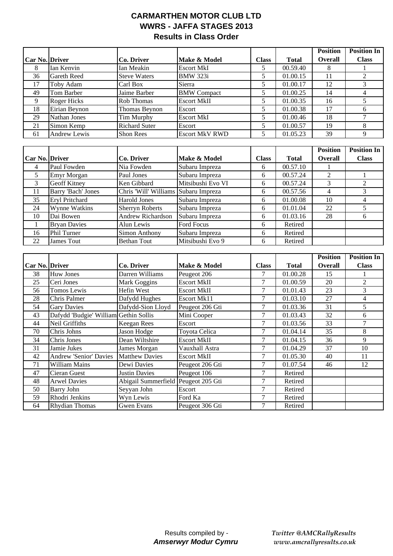### **CARMARTHEN MOTOR CLUB LTD WWRS - JAFFA STAGES 2013 Results in Class Order**

|                 |                                       |                                      |                       |                  |                       | <b>Position</b> | <b>Position In</b> |
|-----------------|---------------------------------------|--------------------------------------|-----------------------|------------------|-----------------------|-----------------|--------------------|
| Car No. Driver  |                                       | Co. Driver                           | Make & Model          | <b>Class</b>     | <b>Total</b>          | <b>Overall</b>  | <b>Class</b>       |
| 8               | Ian Kenvin                            | Ian Meakin                           | <b>Escort MkI</b>     | 5                | 00.59.40              | 8               | $\mathbf{1}$       |
| 36              | Gareth Reed                           | <b>Steve Waters</b>                  | <b>BMW 323i</b>       | 5                | 01.00.15              | 11              | $\overline{2}$     |
| 17              | Toby Adam                             | Carl Box                             | Sierra                | 5                | 01.00.17              | 12              | 3                  |
| 49              | Tom Barber                            | Jaime Barber                         | <b>BMW</b> Compact    | 5                | 01.00.25              | 14              | $\overline{4}$     |
| 9               | <b>Roger Hicks</b>                    | Rob Thomas                           | <b>Escort MkII</b>    | 5                | 01.00.35              | 16              | $\overline{5}$     |
| 18              | Eirian Beynon                         | Thomas Beynon                        | Escort                | 5                | 01.00.38              | $\overline{17}$ | 6                  |
| 29              | Nathan Jones                          | <b>Tim Murphy</b>                    | <b>Escort MkI</b>     | 5                | 01.00.46              | 18              | $\overline{7}$     |
| 21              | Simon Kemp                            | <b>Richard Suter</b>                 | Escort                | $\mathfrak s$    | 01.00.57              | 19              | $8\,$              |
| 61              | <b>Andrew Lewis</b>                   | Shon Rees                            | <b>Escort MkV RWD</b> | 5                | 01.05.23              | $\overline{39}$ | $\overline{9}$     |
|                 |                                       |                                      |                       |                  |                       |                 |                    |
|                 |                                       |                                      |                       |                  |                       | <b>Position</b> | <b>Position In</b> |
| Car No. Driver  |                                       | Co. Driver                           | Make & Model          | <b>Class</b>     | <b>Total</b>          | <b>Overall</b>  | <b>Class</b>       |
| 4               | Paul Fowden                           | Nia Fowden                           | Subaru Impreza        | 6                | 00.57.10              | 1               |                    |
| 5               | Emyr Morgan                           | Paul Jones                           | Subaru Impreza        | 6                | 00.57.24              | $\overline{2}$  | $\mathbf{1}$       |
| 3               | <b>Geoff Kitney</b>                   | Ken Gibbard                          | Mitsibushi Evo VI     | 6                | 00.57.24              | 3               | $\overline{2}$     |
| 11              | <b>Barry 'Bach' Jones</b>             | Chris 'Will' Williams Subaru Impreza |                       | 6                | 00.57.56              | $\overline{4}$  | 3                  |
| $\overline{35}$ | <b>Eryl Pritchard</b>                 | <b>Harold Jones</b>                  | Subaru Impreza        | 6                | 01.00.08              | 10              | $\overline{4}$     |
| 24              | Wynne Watkins                         | <b>Sherryn Roberts</b>               | Subaru Impreza        | 6                | 01.01.04              | 22              | 5                  |
| 10              | Dai Bowen                             | <b>Andrew Richardson</b>             | Subaru Impreza        | 6                | 01.03.16              | 28              | 6                  |
| $\mathbf{1}$    | <b>Bryan Davies</b>                   | Alun Lewis                           | Ford Focus            | 6                | Retired               |                 |                    |
| 16              | Phil Turner                           | Simon Anthony                        | Subaru Impreza        | 6                | Retired               |                 |                    |
| 22              | <b>James Tout</b>                     | <b>Bethan Tout</b>                   | Mitsibushi Evo 9      | 6                | Retired               |                 |                    |
|                 |                                       |                                      |                       |                  |                       |                 |                    |
|                 |                                       |                                      |                       |                  |                       | <b>Position</b> | <b>Position In</b> |
| Car No. Driver  |                                       | <b>Co. Driver</b>                    | Make & Model          | <b>Class</b>     | <b>Total</b>          | <b>Overall</b>  | <b>Class</b>       |
| 38              | <b>Huw Jones</b>                      | Darren Williams                      | Peugeot 206           | 7                | 01.00.28              | 15              | $\mathbf{1}$       |
| 25              | Ceri Jones                            | <b>Mark Goggins</b>                  | <b>Escort MkII</b>    | $\overline{7}$   | 01.00.59              | 20              | $\sqrt{2}$         |
| 56              | Tomos Lewis                           | Hefin West                           | <b>Escort MkII</b>    | $\overline{7}$   | $\overline{01.0}1.43$ | 23              | $\overline{3}$     |
| 28              | Chris Palmer                          | Dafydd Hughes                        | <b>Escort Mk11</b>    | $\tau$           | 01.03.10              | $\overline{27}$ | $\overline{4}$     |
| 54              | <b>Gary Davies</b>                    | Dafydd-Sion Lloyd                    | Peugeot 206 Gti       | $\tau$           | 01.03.36              | $\overline{31}$ | $\overline{5}$     |
| 43              | Dafydd 'Budgie' William Gethin Sollis |                                      | Mini Cooper           | $\overline{7}$   | 01.03.43              | $\overline{32}$ | 6                  |
| 44              | Neil Griffiths                        | <b>Keegan Rees</b>                   | Escort                | $\tau$           | 01.03.56              | $\overline{33}$ | $\boldsymbol{7}$   |
| 70              | Chris Johns                           | <b>Jason Hodge</b>                   | Toyota Celica         | $\boldsymbol{7}$ | 01.04.14              | $\overline{35}$ | $8\,$              |
| 34              | Chris Jones                           | Dean Wiltshire                       | <b>Escort MkII</b>    | $\tau$           | 01.04.15              | $\overline{36}$ | $\overline{9}$     |
| 31              | Jamie Jukes                           | James Morgan                         | Vauxhall Astra        | 7                | 01.04.29              | 37              | 10                 |
| 42              | <b>Andrew 'Senior' Davies</b>         | <b>Matthew Davies</b>                | <b>Escort MkII</b>    | 7                | 01.05.30              | 40              | 11                 |
| 71              | William Mains                         | Dewi Davies                          | Peugeot 206 Gti       | $\tau$           | 01.07.54              | 46              | 12                 |
| 47              | Cieran Guest                          | <b>Justin Davies</b>                 | Peugeot 106           | 7                | Retired               |                 |                    |
| 48              | <b>Arwel Davies</b>                   | Abigail Summerfield                  | Peugeot 205 Gti       | $\tau$           | Retired               |                 |                    |
| 50              | <b>Barry John</b>                     | Seyyan John                          | Escort                | $\tau$           | Retired               |                 |                    |
| 59              | Rhodri Jenkins                        | Wyn Lewis                            | Ford Ka               | $\tau$           | Retired               |                 |                    |
| 64              | <b>Rhydian Thomas</b>                 | <b>Gwen Evans</b>                    | Peugeot 306 Gti       | $\overline{7}$   | Retired               |                 |                    |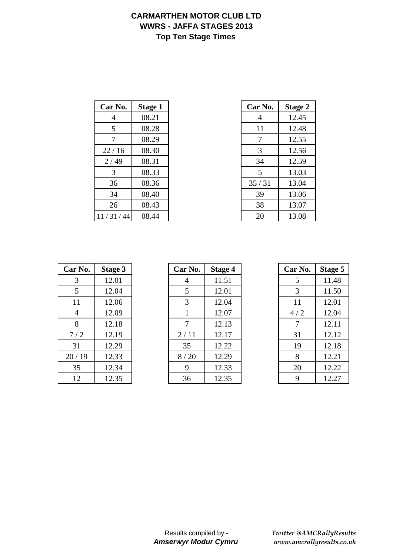## **CARMARTHEN MOTOR CLUB LTD WWRS - JAFFA STAGES 2013 Top Ten Stage Times**

| Car No.  | <b>Stage 1</b> | Car No. | <b>Stage 2</b> |
|----------|----------------|---------|----------------|
| 4        | 08.21          | 4       | 12.45          |
| 5        | 08.28          | 11      | 12.48          |
| 7        | 08.29          | 7       | 12.55          |
| 22/16    | 08.30          | 3       | 12.56          |
| 2/49     | 08.31          | 34      | 12.59          |
| 3        | 08.33          | 5       | 13.03          |
| 36       | 08.36          | 35/31   | 13.04          |
| 34       | 08.40          | 39      | 13.06          |
| 26       | 08.43          | 38      | 13.07          |
| 11/31/44 | 08.44          | 20      | 13.08          |

| 'ar No. | <b>Stage 1</b> | Car No. | <b>Stage 2</b> |
|---------|----------------|---------|----------------|
| 4       | 08.21          | 4       | 12.45          |
| 5       | 08.28          | 11      | 12.48          |
| 7       | 08.29          | 7       | 12.55          |
| 22/16   | 08.30          | 3       | 12.56          |
| 2/49    | 08.31          | 34      | 12.59          |
| 3       | 08.33          | 5       | 13.03          |
| 36      | 08.36          | 35/31   | 13.04          |
| 34      | 08.40          | 39      | 13.06          |
| 26      | 08.43          | 38      | 13.07          |
| /31/44  | 08.44          | 20      | 13.08          |

| Car No. | <b>Stage 3</b> |
|---------|----------------|
| 3       | 12.01          |
| 5       | 12.04          |
| 11      | 12.06          |
| 4       | 12.09          |
| 8       | 12.18          |
| 7/2     | 12.19          |
| 31      | 12.29          |
| 20/19   | 12.33          |
| 35      | 12.34          |
| 12      | 12.35          |

| Car No. | Stage 3 | Car No. | <b>Stage 4</b> | Car No. | Stage 5 |
|---------|---------|---------|----------------|---------|---------|
| 3       | 12.01   | 4       | 11.51          | 5       | 11.48   |
| 5       | 12.04   | 5       | 12.01          | 3       | 11.50   |
| 11      | 12.06   | 3       | 12.04          | 11      | 12.01   |
| 4       | 12.09   |         | 12.07          | 4/2     | 12.04   |
| 8       | 12.18   | 7       | 12.13          | 7       | 12.11   |
| 7/2     | 12.19   | 2/11    | 12.17          | 31      | 12.12   |
| 31      | 12.29   | 35      | 12.22          | 19      | 12.18   |
| 20/19   | 12.33   | 8/20    | 12.29          | 8       | 12.21   |
| 35      | 12.34   | 9       | 12.33          | 20      | 12.22   |
| 12      | 12.35   | 36      | 12.35          | 9       | 12.27   |

| Car No. | <b>Stage 5</b> |
|---------|----------------|
| 5       | 11.48          |
| 3       | 11.50          |
| 11      | 12.01          |
| 4 / 2   | 12.04          |
| 7       | 12.11          |
| 31      | 12.12          |
| 19      | 12.18          |
| 8       | 12.21          |
| 20      | 12.22          |
| Q       | 12.27          |

*Twitter @AMCRallyResults www.amcrallyresults.co.uk*